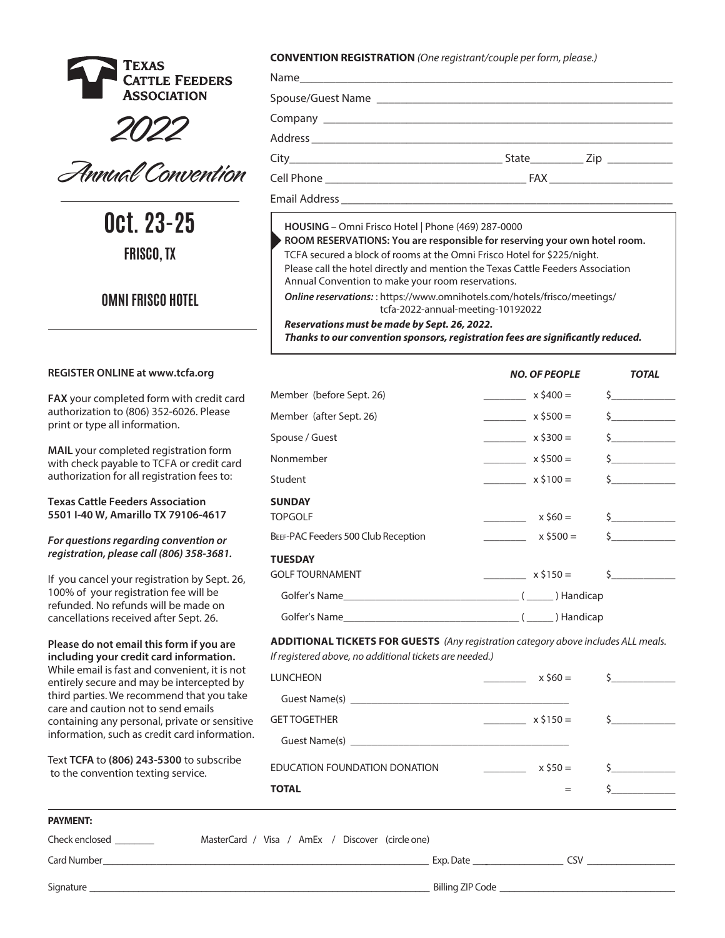





**Oct. 23-25 FRISCO, TX**

# **OMNI FRISCO HOTEL**

## **REGISTER ONLINE at www.tcfa.org**

**FAX** your completed form with credit card authorization to (806) 352-6026. Please print or type all information.

**MAIL** your completed registration form with check payable to TCFA or credit card authorization for all registration fees to:

**Texas Cattle Feeders Association 5501 I-40 W, Amarillo TX 79106-4617**

*For questions regarding convention or registration, please call (806) 358-3681.*

If you cancel your registration by Sept. 26, 100% of your registration fee will be refunded. No refunds will be made on cancellations received after Sept. 26.

**Please do not email this form if you are including your credit card information.** While email is fast and convenient, it is not entirely secure and may be intercepted by third parties. We recommend that you take care and caution not to send emails containing any personal, private or sensitive information, such as credit card information.

Text **TCFA** to **(806) 243-5300** to subscribe to the convention texting service.

**CONVENTION REGISTRATION** *(One registrant/couple per form, please.)*

|  | State ________________ Zip ________________ |
|--|---------------------------------------------|
|  |                                             |
|  |                                             |

**HOUSING** – Omni Frisco Hotel | Phone (469) 287-0000

**ROOM RESERVATIONS: You are responsible for reserving your own hotel room.**  TCFA secured a block of rooms at the Omni Frisco Hotel for \$225/night.

Please call the hotel directly and mention the Texas Cattle Feeders Association Annual Convention to make your room reservations.

*Online reservations:* : https://www.omnihotels.com/hotels/frisco/meetings/ tcfa-2022-annual-meeting-10192022

## *Reservations must be made by Sept. 26, 2022.*

Thanks to our convention sponsors, registration fees are significantly reduced.

|                                     | <b>NO. OF PEOPLE</b> | <b>TOTAL</b>                                               |
|-------------------------------------|----------------------|------------------------------------------------------------|
| Member (before Sept. 26)            | $x \, 5400 =$        | $\mathsf{s}$ $\qquad \qquad$                               |
| Member (after Sept. 26)             | $x$ \$500 =          | $\mathsf{s}$ $\qquad \qquad$                               |
| Spouse / Guest                      | $x \, 5300 =$        | $\zeta$                                                    |
| Nonmember                           | $x$ \$500 =          | $\mathsf{\hat{S}}$                                         |
| Student                             | $x \, 5100 =$        | $\mathsf{\hat{S}}$                                         |
| <b>SUNDAY</b>                       |                      |                                                            |
| <b>TOPGOLF</b>                      | $x$ \$60 =           | $\mathsf{\mathsf{S}}$ . The state of $\mathsf{\mathsf{S}}$ |
| BEEF-PAC Feeders 500 Club Reception | $x $500 =$           | $\mathsf{\dot{S}}$                                         |
| <b>TUESDAY</b>                      |                      |                                                            |
| <b>GOLF TOURNAMENT</b>              | $x \, 5150 =$        | $\mathsf{\dot{S}}$ and $\mathsf{\dot{S}}$                  |
|                                     |                      |                                                            |
|                                     |                      |                                                            |

**ADDITIONAL TICKETS FOR GUESTS** *(Any registration category above includes ALL meals.* 

*If registered above, no additional tickets are needed.)*

| $x 560 =$  | $\mathsf{\overline{S}}$ $\qquad \qquad$                                                                                                                                                                                                                                                                                                                                                                                                                          |
|------------|------------------------------------------------------------------------------------------------------------------------------------------------------------------------------------------------------------------------------------------------------------------------------------------------------------------------------------------------------------------------------------------------------------------------------------------------------------------|
|            |                                                                                                                                                                                                                                                                                                                                                                                                                                                                  |
| $x $150 =$ | $\sim$ $\sim$                                                                                                                                                                                                                                                                                                                                                                                                                                                    |
|            |                                                                                                                                                                                                                                                                                                                                                                                                                                                                  |
| $x$ \$50 = |                                                                                                                                                                                                                                                                                                                                                                                                                                                                  |
|            |                                                                                                                                                                                                                                                                                                                                                                                                                                                                  |
|            | Guest Name(s) experience and the contract of the contract of the contract of the contract of the contract of the contract of the contract of the contract of the contract of the contract of the contract of the contract of t<br>Guest Name(s) experience and the contract of the contract of the contract of the contract of the contract of the contract of the contract of the contract of the contract of the contract of the contract of the contract of t |

#### **PAYMENT:**

| Check enclosed<br>MasterCard / Visa / AmEx / Discover (circle one) |     |
|--------------------------------------------------------------------|-----|
| Card Number<br>Exp. Date                                           | rs۷ |
| Billing ZIP Code<br>Signature                                      |     |